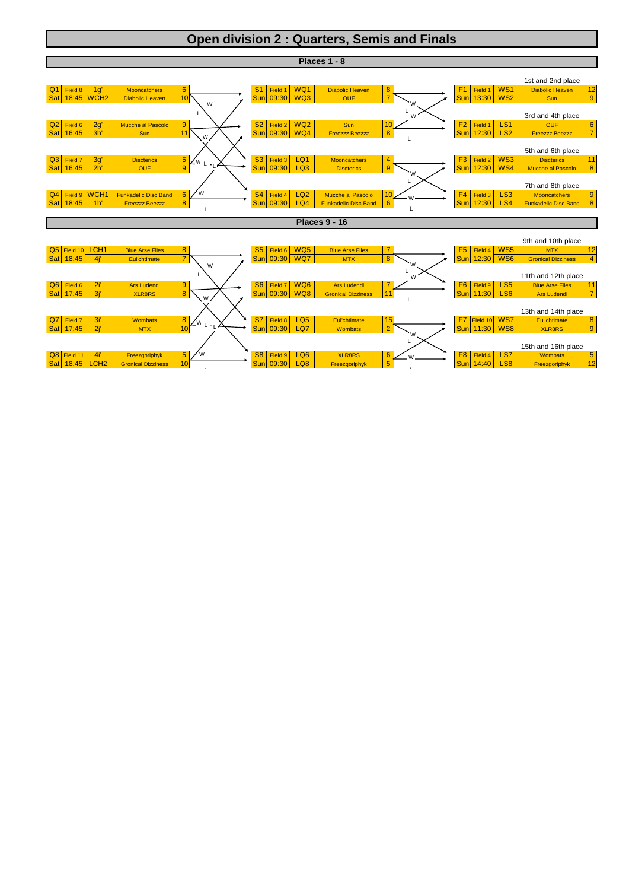## **Open division 2 : Quarters, Semis and Finals**